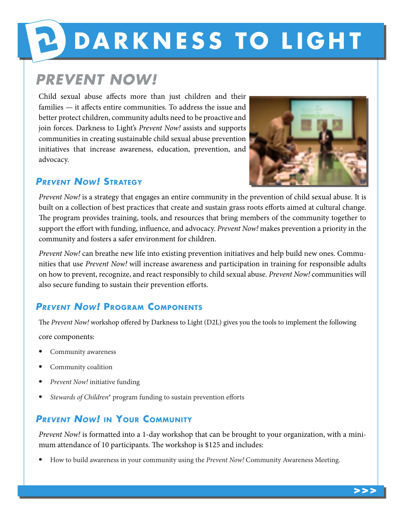# **PODARKNESS TO LIGHT**

## **PREVENT NOW!**

Child sexual abuse affects more than just children and their families — it affects entire communities. To address the issue and better protect children, community adults need to be proactive and join forces. Darkness to Light's *Prevent Now!* assists and supports communities in creating sustainable child sexual abuse prevention initiatives that increase awareness, education, prevention, and advocacy.



### **Prevent Now! Strategy**

*Prevent Now!* is a strategy that engages an entire community in the prevention of child sexual abuse. It is built on a collection of best practices that create and sustain grass roots efforts aimed at cultural change. The program provides training, tools, and resources that bring members of the community together to support the effort with funding, influence, and advocacy. *Prevent Now!* makes prevention a priority in the community and fosters a safer environment for children.

*Prevent Now!* can breathe new life into existing prevention initiatives and help build new ones. Communities that use *Prevent Now!* will increase awareness and participation in training for responsible adults on how to prevent, recognize, and react responsibly to child sexual abuse. *Prevent Now!* communities will also secure funding to sustain their prevention efforts.

### **Prevent Now! Program Components**

The *Prevent Now!* workshop offered by Darkness to Light (D2L) gives you the tools to implement the following

core components:

- Community awareness
- Community coalition
- *Prevent Now!* initiative funding
- *Stewards of Children*® program funding to sustain prevention efforts

### **Prevent Now! in Your Community**

*Prevent Now!* is formatted into a 1-day workshop that can be brought to your organization, with a minimum attendance of 10 participants. The workshop is \$125 and includes:

• How to build awareness in your community using the *Prevent Now!* Community Awareness Meeting.